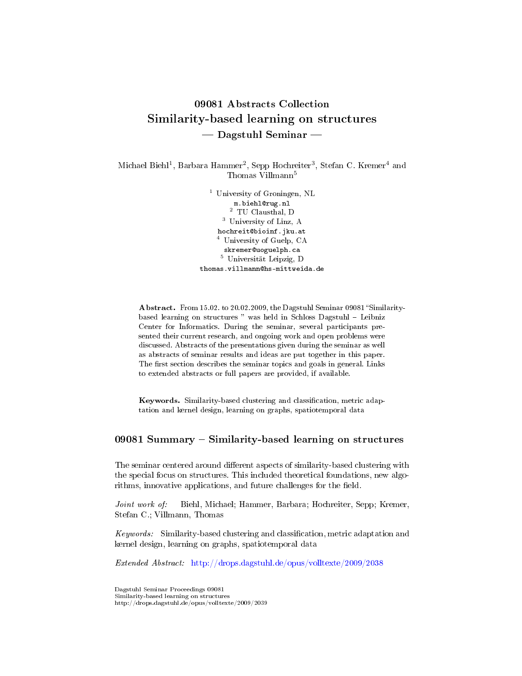# 09081 Abstracts Collection Similarity-based learning on structures  $\rightharpoonup$  Dagstuhl Seminar  $\rightharpoonup$

Michael Biehl<sup>1</sup>, Barbara Hammer<sup>2</sup>, Sepp Hochreiter<sup>3</sup>, Stefan C. Kremer<sup>4</sup> and Thomas Villmann<sup>5</sup>

> <sup>1</sup> University of Groningen, NL m.biehl@rug.nl  $^2\,$  TU Clausthal, D <sup>3</sup> University of Linz, A hochreit@bioinf.jku.at <sup>4</sup> University of Guelp, CA skremer@uoguelph.ca <sup>5</sup> Universität Leipzig, D thomas.villmann@hs-mittweida.de

Abstract. From 15.02. to 20.02.2009, the Dagstuhl Seminar 09081 "Similaritybased learning on structures " was held in Schloss Dagstuhl - Leibniz Center for Informatics. During the seminar, several participants presented their current research, and ongoing work and open problems were discussed. Abstracts of the presentations given during the seminar as well as abstracts of seminar results and ideas are put together in this paper. The first section describes the seminar topics and goals in general. Links to extended abstracts or full papers are provided, if available.

Keywords. Similarity-based clustering and classification, metric adaptation and kernel design, learning on graphs, spatiotemporal data

# $09081$  Summary  $-$  Similarity-based learning on structures

The seminar centered around different aspects of similarity-based clustering with the special focus on structures. This included theoretical foundations, new algorithms, innovative applications, and future challenges for the field.

Joint work of: Biehl, Michael; Hammer, Barbara; Hochreiter, Sepp; Kremer, Stefan C.; Villmann, Thomas

 $Keywords:$  Similarity-based clustering and classification, metric adaptation and kernel design, learning on graphs, spatiotemporal data

Extended Abstract: <http://drops.dagstuhl.de/opus/volltexte/2009/2038>

Dagstuhl Seminar Proceedings 09081 Similarity-based learning on structures http://drops.dagstuhl.de/opus/volltexte/2009/2039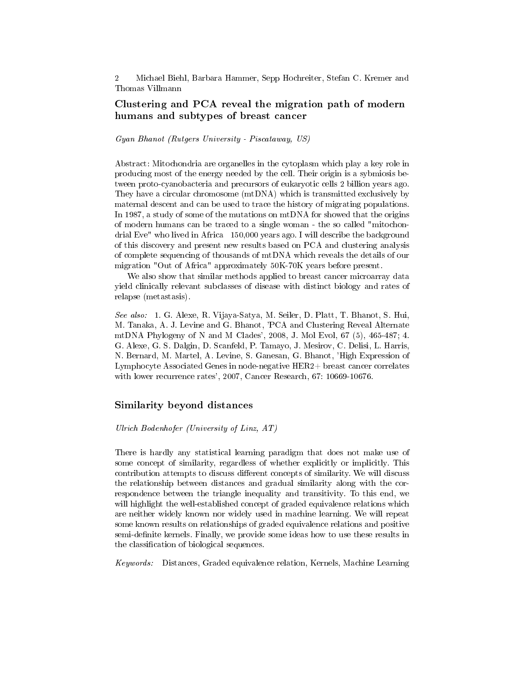# Clustering and PCA reveal the migration path of modern humans and subtypes of breast cancer

#### Gyan Bhanot (Rutgers University - Piscataway, US)

Abstract: Mitochondria are organelles in the cytoplasm which play a key role in producing most of the energy needed by the cell. Their origin is a sybmiosis between proto-cyanobacteria and precursors of eukaryotic cells 2 billion years ago. They have a circular chromosome (mtDNA) which is transmitted exclusively by maternal descent and can be used to trace the history of migrating populations. In 1987, a study of some of the mutations on mtDNA for showed that the origins of modern humans can be traced to a single woman - the so called "mitochondrial Eve" who lived in Africa 150,000 years ago. I will describe the background of this discovery and present new results based on PCA and clustering analysis of complete sequencing of thousands of mtDNA which reveals the details of our migration "Out of Africa" approximately 50K-70K years before present.

We also show that similar methods applied to breast cancer microarray data yield clinically relevant subclasses of disease with distinct biology and rates of relapse (metastasis).

See also: 1. G. Alexe, R. Vijaya-Satya, M. Seiler, D. Platt, T. Bhanot, S. Hui, M. Tanaka, A. J. Levine and G. Bhanot, 'PCA and Clustering Reveal Alternate mtDNA Phylogeny of N and M Clades', 2008, J. Mol Evol,  $67(5)$ ,  $465-487$ ; 4. G. Alexe, G. S. Dalgin, D. Scanfeld, P. Tamayo, J. Mesirov, C. Delisi, L. Harris, N. Bernard, M. Martel, A. Levine, S. Ganesan, G. Bhanot, 'High Expression of Lymphocyte Associated Genes in node-negative HER2+ breast cancer correlates with lower recurrence rates', 2007, Cancer Research, 67: 10669-10676.

#### Similarity beyond distances

#### Ulrich Bodenhofer (University of Linz, AT)

There is hardly any statistical learning paradigm that does not make use of some concept of similarity, regardless of whether explicitly or implicitly. This contribution attempts to discuss different concepts of similarity. We will discuss the relationship between distances and gradual similarity along with the correspondence between the triangle inequality and transitivity. To this end, we will highlight the well-established concept of graded equivalence relations which are neither widely known nor widely used in machine learning. We will repeat some known results on relationships of graded equivalence relations and positive semi-definite kernels. Finally, we provide some ideas how to use these results in the classification of biological sequences.

Keywords: Distances, Graded equivalence relation, Kernels, Machine Learning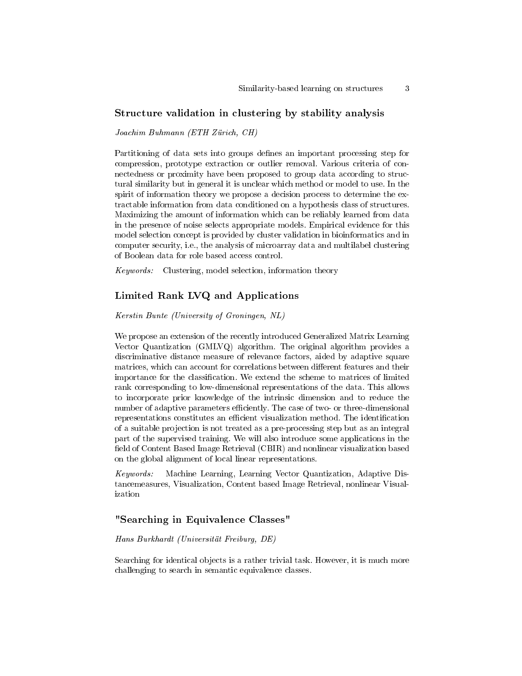# Structure validation in clustering by stability analysis

Joachim Buhmann (ETH Zürich, CH)

Partitioning of data sets into groups defines an important processing step for compression, prototype extraction or outlier removal. Various criteria of connectedness or proximity have been proposed to group data according to structural similarity but in general it is unclear which method or model to use. In the spirit of information theory we propose a decision process to determine the extractable information from data conditioned on a hypothesis class of structures. Maximizing the amount of information which can be reliably learned from data in the presence of noise selects appropriate models. Empirical evidence for this model selection concept is provided by cluster validation in bioinformatics and in computer security, i.e., the analysis of microarray data and multilabel clustering of Boolean data for role based access control.

Keywords: Clustering, model selection, information theory

# Limited Rank LVQ and Applications

Kerstin Bunte (University of Groningen, NL)

We propose an extension of the recently introduced Generalized Matrix Learning Vector Quantization (GMLVQ) algorithm. The original algorithm provides a discriminative distance measure of relevance factors, aided by adaptive square matrices, which can account for correlations between different features and their importance for the classification. We extend the scheme to matrices of limited rank corresponding to low-dimensional representations of the data. This allows to incorporate prior knowledge of the intrinsic dimension and to reduce the number of adaptive parameters efficiently. The case of two- or three-dimensional representations constitutes an efficient visualization method. The identification of a suitable projection is not treated as a pre-processing step but as an integral part of the supervised training. We will also introduce some applications in the field of Content Based Image Retrieval (CBIR) and nonlinear visualization based on the global alignment of local linear representations.

Keywords: Machine Learning, Learning Vector Quantization, Adaptive Distancemeasures, Visualization, Content based Image Retrieval, nonlinear Visualization

# "Searching in Equivalence Classes"

#### Hans Burkhardt (Universität Freiburg, DE)

Searching for identical objects is a rather trivial task. However, it is much more challenging to search in semantic equivalence classes.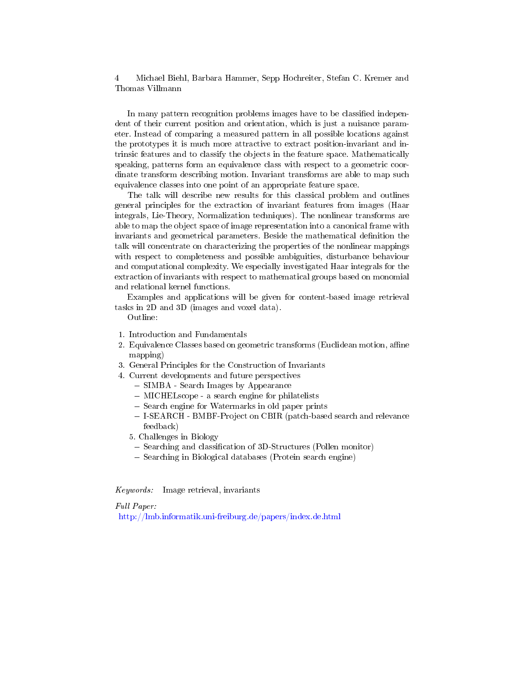In many pattern recognition problems images have to be classified independent of their current position and orientation, which is just a nuisance parameter. Instead of comparing a measured pattern in all possible locations against the prototypes it is much more attractive to extract position-invariant and intrinsic features and to classify the objects in the feature space. Mathematically speaking, patterns form an equivalence class with respect to a geometric coordinate transform describing motion. Invariant transforms are able to map such equivalence classes into one point of an appropriate feature space.

The talk will describe new results for this classical problem and outlines general principles for the extraction of invariant features from images (Haar integrals, Lie-Theory, Normalization techniques). The nonlinear transforms are able to map the object space of image representation into a canonical frame with invariants and geometrical parameters. Beside the mathematical denition the talk will concentrate on characterizing the properties of the nonlinear mappings with respect to completeness and possible ambiguities, disturbance behaviour and computational complexity. We especially investigated Haar integrals for the extraction of invariants with respect to mathematical groups based on monomial and relational kernel functions.

Examples and applications will be given for content-based image retrieval tasks in 2D and 3D (images and voxel data).

Outline:

- 1. Introduction and Fundamentals
- 2. Equivalence Classes based on geometric transforms (Euclidean motion, affine mapping)
- 3. General Principles for the Construction of Invariants
- 4. Current developments and future perspectives
	- SIMBA Search Images by Appearance
	- MICHELscope a search engine for philatelists
	- Search engine for Watermarks in old paper prints
	- I-SEARCH BMBF-Project on CBIR (patch-based search and relevance feedback)
	- 5. Challenges in Biology
		- Searching and classification of 3D-Structures (Pollen monitor)
	- $-$  Searching in Biological databases (Protein search engine)

Keywords: Image retrieval, invariants

Full Paper:

<http://lmb.informatik.uni-freiburg.de/papers/index.de.html>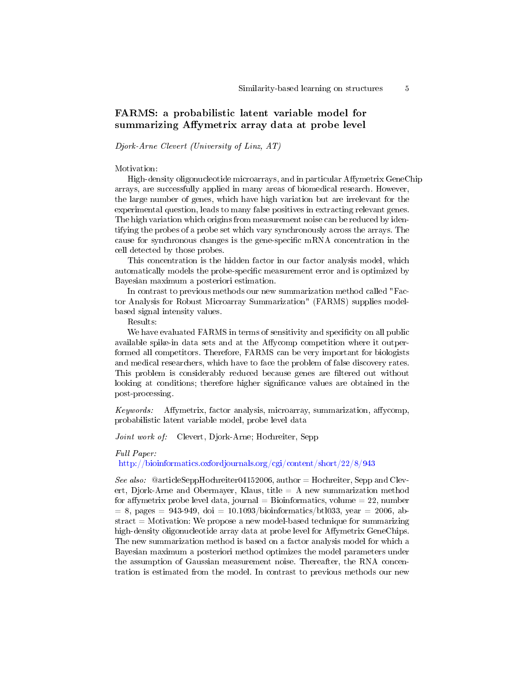# FARMS: a probabilistic latent variable model for summarizing Affymetrix array data at probe level

Djork-Arne Clevert (University of Linz, AT)

Motivation:

High-density oligonucleotide microarrays, and in particular Affymetrix GeneChip arrays, are successfully applied in many areas of biomedical research. However, the large number of genes, which have high variation but are irrelevant for the experimental question, leads to many false positives in extracting relevant genes. The high variation which origins from measurement noise can be reduced by identifying the probes of a probe set which vary synchronously across the arrays. The cause for synchronous changes is the gene-specific mRNA concentration in the cell detected by those probes.

This concentration is the hidden factor in our factor analysis model, which automatically models the probe-specific measurement error and is optimized by Bayesian maximum a posteriori estimation.

In contrast to previous methods our new summarization method called "Factor Analysis for Robust Microarray Summarization" (FARMS) supplies modelbased signal intensity values.

Results:

We have evaluated FARMS in terms of sensitivity and specificity on all public available spike-in data sets and at the Affycomp competition where it outperformed all competitors. Therefore, FARMS can be very important for biologists and medical researchers, which have to face the problem of false discovery rates. This problem is considerably reduced because genes are filtered out without looking at conditions; therefore higher significance values are obtained in the post-processing.

 $Keywords:$  Affymetrix, factor analysis, microarray, summarization, affyromp, probabilistic latent variable model, probe level data

Joint work of: Clevert, Djork-Arne; Hochreiter, Sepp

#### Full Paper:

<http://bioinformatics.oxfordjournals.org/cgi/content/short/22/8/943>

See also:  $@article SeppHochreiter04152006$ , author  $=$  Hochreiter, Sepp and Clevert, Djork-Arne and Obermayer, Klaus, title  $= A$  new summarization method for affymetrix probe level data, journal = Bioinformatics, volume = 22, number  $= 8$ , pages  $= 943-949$ , doi  $= 10.1093/bioinformatics/bt1033$ , year  $= 2006$ , ab $stract = Motivation$ : We propose a new model-based technique for summarizing high-density oligonucleotide array data at probe level for Affymetrix GeneChips. The new summarization method is based on a factor analysis model for which a Bayesian maximum a posteriori method optimizes the model parameters under the assumption of Gaussian measurement noise. Thereafter, the RNA concentration is estimated from the model. In contrast to previous methods our new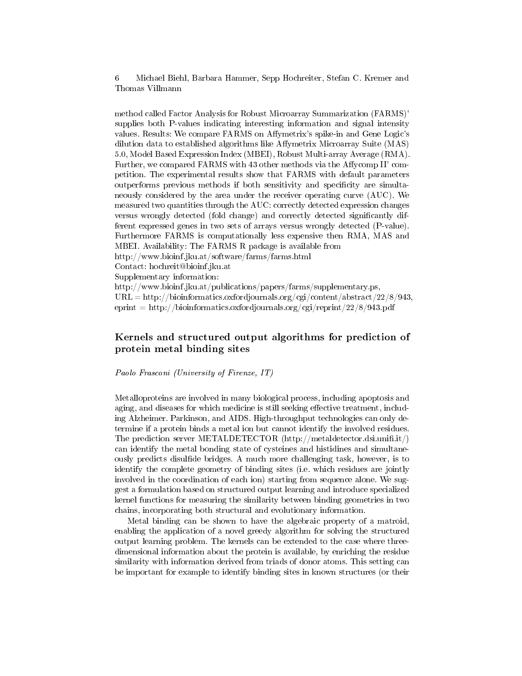method called Factor Analysis for Robust Microarray Summarization (FARMS)' supplies both P-values indicating interesting information and signal intensity values. Results: We compare FARMS on Affymetrix's spike-in and Gene Logic's dilution data to established algorithms like Affymetrix Microarray Suite (MAS) 5.0, Model Based Expression Index (MBEI), Robust Multi-array Average (RMA). Further, we compared FARMS with 43 other methods via the Affycomp II' competition. The experimental results show that FARMS with default parameters outperforms previous methods if both sensitivity and specificity are simultaneously considered by the area under the receiver operating curve (AUC). We measured two quantities through the AUC: correctly detected expression changes versus wrongly detected (fold change) and correctly detected significantly different expressed genes in two sets of arrays versus wrongly detected (P-value). Furthermore FARMS is computationally less expensive then RMA, MAS and MBEI. Availability: The FARMS R package is available from http://www.bioinf.jku.at/software/farms/farms.html Contact: hochreit@bioinf.jku.at Supplementary information: http://www.bioinf.jku.at/publications/papers/farms/supplementary.ps,  $URL = http://bioinformatics.oxfordjournals.org/cgi/content/abstract/22/8/943,$ eprint  $=$  http://bioinformatics.oxfordjournals.org/cgi/reprint/22/8/943.pdf

# Kernels and structured output algorithms for prediction of protein metal binding sites

Paolo Frasconi (University of Firenze, IT)

Metalloproteins are involved in many biological process, including apoptosis and aging, and diseases for which medicine is still seeking effective treatment, including Alzheimer. Parkinson, and AIDS. High-throughput technologies can only determine if a protein binds a metal ion but cannot identify the involved residues. The prediction server METALDETECTOR (http://metaldetector.dsi.unifi.it/) can identify the metal bonding state of cysteines and histidines and simultaneously predicts disulfide bridges. A much more challenging task, however, is to identify the complete geometry of binding sites (i.e. which residues are jointly involved in the coordination of each ion) starting from sequence alone. We suggest a formulation based on structured output learning and introduce specialized kernel functions for measuring the similarity between binding geometries in two chains, incorporating both structural and evolutionary information.

Metal binding can be shown to have the algebraic property of a matroid, enabling the application of a novel greedy algorithm for solving the structured output learning problem. The kernels can be extended to the case where threedimensional information about the protein is available, by enriching the residue similarity with information derived from triads of donor atoms. This setting can be important for example to identify binding sites in known structures (or their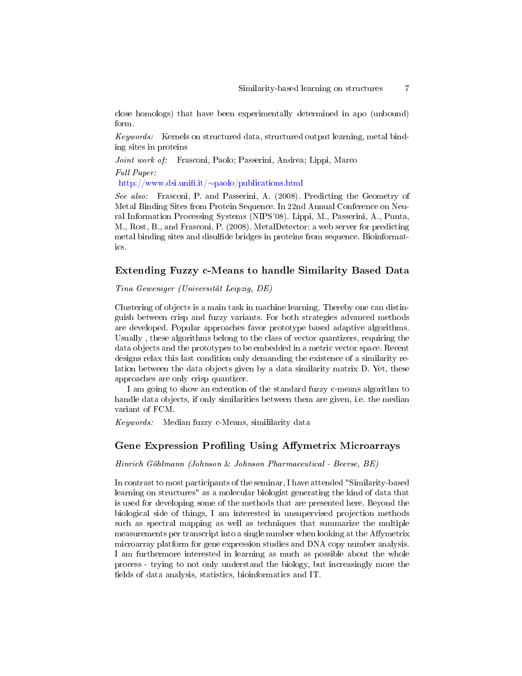close homologs) that have been experimentally determined in apo (unbound) form.

Keywords: Kernels on structured data, structured output learning, metal binding sites in proteins

Joint work of: Frasconi, Paolo; Passerini, Andrea; Lippi, Marco

Full Paper:

http://www.dsi.unifi.it/∼paolo/publications.html

See also: Frasconi, P. and Passerini, A. (2008). Predicting the Geometry of Metal Binding Sites from Protein Sequence. In 22nd Annual Conference on Neural Information Processing Systems (NIPS'08). Lippi, M., Passerini, A., Punta, M., Rost, B., and Frasconi, P. (2008). MetalDetector: a web server for predicting metal binding sites and disulfide bridges in proteins from sequence. Bioinformatics.

### Extending Fuzzy c-Means to handle Similarity Based Data

Tina Geweniger (Universität Leipzig, DE)

Clustering of objects is a main task in machine learning. Thereby one can distinguish between crisp and fuzzy variants. For both strategies advanced methods are developed. Popular approaches favor prototype based adaptive algorithms. Usually , these algorithms belong to the class of vector quantizers, requiring the data objects and the prototypes to be embedded in a metric vector space. Recent designs relax this last condition only demanding the existence of a similarity relation between the data objects given by a data similarity matrix D. Yet, these approaches are only crisp quantizer.

I am going to show an extention of the standard fuzzy c-means algorithm to handle data objects, if only similarities between them are given, i.e. the median variant of FCM.

Keywords: Median fuzzy c-Means, simililarity data

#### Gene Expression Profiling Using Affymetrix Microarrays

Hinrich Göhlmann (Johnson & Johnson Pharmaceutical - Beerse, BE)

In contrast to most participants of the seminar, I have attended "Similarity-based learning on structures" as a molecular biologist generating the kind of data that is used for developing some of the methods that are presented here. Beyond the biological side of things, I am interested in unsupervised projection methods such as spectral mapping as well as techniques that summarize the multiple measurements per transcript into a single number when looking at the Affymetrix microarray platform for gene expression studies and DNA copy number analysis. I am furthermore interested in learning as much as possible about the whole process - trying to not only understand the biology, but increasingly more the fields of data analysis, statistics, bioinformatics and IT.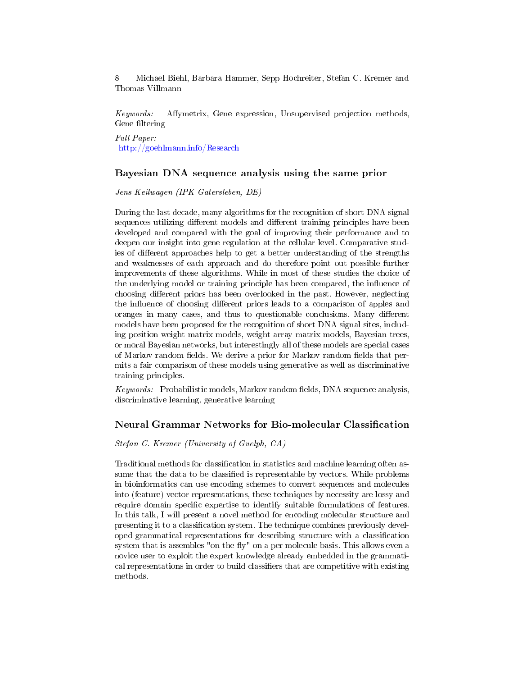Keywords: Affymetrix, Gene expression, Unsupervised projection methods, Gene filtering

Full Paper: <http://goehlmann.info/Research>

### Bayesian DNA sequence analysis using the same prior

Jens Keilwagen (IPK Gatersleben, DE)

During the last decade, many algorithms for the recognition of short DNA signal sequences utilizing different models and different training principles have been developed and compared with the goal of improving their performance and to deepen our insight into gene regulation at the cellular level. Comparative studies of different approaches help to get a better understanding of the strengths and weaknesses of each approach and do therefore point out possible further improvements of these algorithms. While in most of these studies the choice of the underlying model or training principle has been compared, the influence of choosing different priors has been overlooked in the past. However, neglecting the influence of choosing different priors leads to a comparison of apples and oranges in many cases, and thus to questionable conclusions. Many different models have been proposed for the recognition of short DNA signal sites, including position weight matrix models, weight array matrix models, Bayesian trees, or moral Bayesian networks, but interestingly all of these models are special cases of Markov random fields. We derive a prior for Markov random fields that permits a fair comparison of these models using generative as well as discriminative training principles.

*Keywords:* Probabilistic models, Markov random fields, DNA sequence analysis, discriminative learning, generative learning

## Neural Grammar Networks for Bio-molecular Classification

#### Stefan C. Kremer (University of Guelph, CA)

Traditional methods for classification in statistics and machine learning often assume that the data to be classified is representable by vectors. While problems in bioinformatics can use encoding schemes to convert sequences and molecules into (feature) vector representations, these techniques by necessity are lossy and require domain specific expertise to identify suitable formulations of features. In this talk, I will present a novel method for encoding molecular structure and presenting it to a classification system. The technique combines previously developed grammatical representations for describing structure with a classification system that is assembles "on-the-fly" on a per molecule basis. This allows even a novice user to exploit the expert knowledge already embedded in the grammatical representations in order to build classifiers that are competitive with existing methods.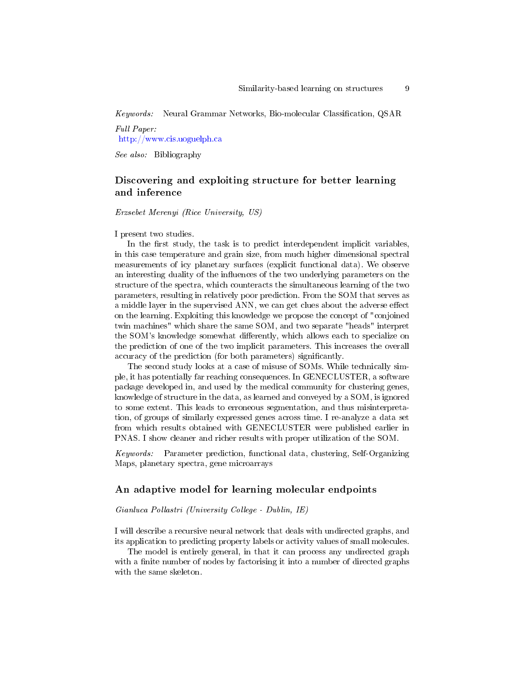Keywords: Neural Grammar Networks, Bio-molecular Classification, QSAR

Full Paper: <http://www.cis.uoguelph.ca>

See also: Bibliography

# Discovering and exploiting structure for better learning and inference

Erzsebet Merenyi (Rice University, US)

I present two studies.

In the first study, the task is to predict interdependent implicit variables, in this case temperature and grain size, from much higher dimensional spectral measurements of icy planetary surfaces (explicit functional data). We observe an interesting duality of the influences of the two underlying parameters on the structure of the spectra, which counteracts the simultaneous learning of the two parameters, resulting in relatively poor prediction. From the SOM that serves as a middle layer in the supervised ANN, we can get clues about the adverse effect on the learning. Exploiting this knowledge we propose the concept of "conjoined twin machines" which share the same SOM, and two separate "heads" interpret the SOM's knowledge somewhat differently, which allows each to specialize on the prediction of one of the two implicit parameters. This increases the overall accuracy of the prediction (for both parameters) significantly.

The second study looks at a case of misuse of SOMs. While technically simple, it has potentially far reaching consequences. In GENECLUSTER, a software package developed in, and used by the medical community for clustering genes, knowledge of structure in the data, as learned and conveyed by a SOM, is ignored to some extent. This leads to erroneous segmentation, and thus misinterpretation, of groups of similarly expressed genes across time. I re-analyze a data set from which results obtained with GENECLUSTER were published earlier in PNAS. I show cleaner and richer results with proper utilization of the SOM.

Keywords: Parameter prediction, functional data, clustering, Self-Organizing Maps, planetary spectra, gene microarrays

## An adaptive model for learning molecular endpoints

#### Gianluca Pollastri (University College - Dublin, IE)

I will describe a recursive neural network that deals with undirected graphs, and its application to predicting property labels or activity values of small molecules.

The model is entirely general, in that it can process any undirected graph with a finite number of nodes by factorising it into a number of directed graphs with the same skeleton.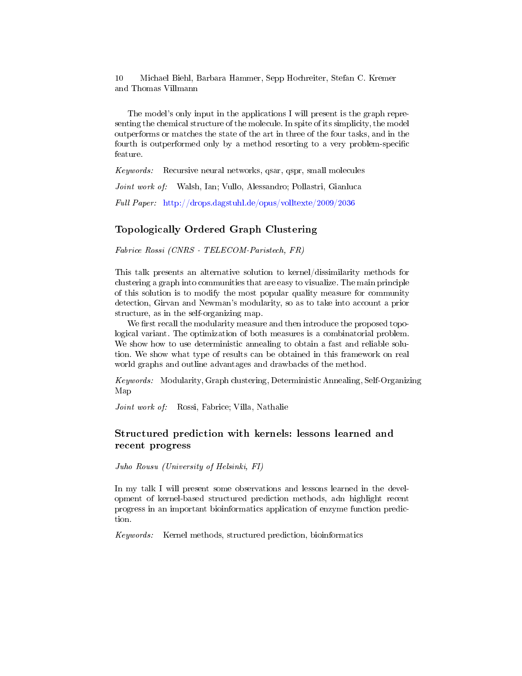The model's only input in the applications I will present is the graph representing the chemical structure of the molecule. In spite of its simplicity, the model outperforms or matches the state of the art in three of the four tasks, and in the fourth is outperformed only by a method resorting to a very problem-specific feature.

Keywords: Recursive neural networks, qsar, qspr, small molecules

Joint work of: Walsh, Ian; Vullo, Alessandro; Pollastri, Gianluca

Full Paper: <http://drops.dagstuhl.de/opus/volltexte/2009/2036>

# Topologically Ordered Graph Clustering

Fabrice Rossi (CNRS - TELECOM-Paristech, FR)

This talk presents an alternative solution to kernel/dissimilarity methods for clustering a graph into communities that are easy to visualize. The main principle of this solution is to modify the most popular quality measure for community detection, Girvan and Newman's modularity, so as to take into account a prior structure, as in the self-organizing map.

We first recall the modularity measure and then introduce the proposed topological variant. The optimization of both measures is a combinatorial problem. We show how to use deterministic annealing to obtain a fast and reliable solution. We show what type of results can be obtained in this framework on real world graphs and outline advantages and drawbacks of the method.

Keywords: Modularity, Graph clustering, Deterministic Annealing, Self-Organizing Map

Joint work of: Rossi, Fabrice; Villa, Nathalie

# Structured prediction with kernels: lessons learned and recent progress

Juho Rousu (University of Helsinki, FI)

In my talk I will present some observations and lessons learned in the development of kernel-based structured prediction methods, adn highlight recent progress in an important bioinformatics application of enzyme function prediction.

Keywords: Kernel methods, structured prediction, bioinformatics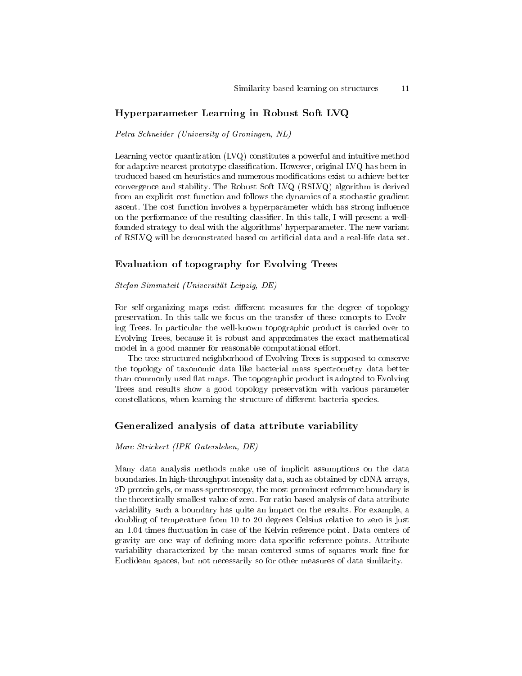### Hyperparameter Learning in Robust Soft LVQ

Petra Schneider (University of Groningen, NL)

Learning vector quantization (LVQ) constitutes a powerful and intuitive method for adaptive nearest prototype classification. However, original LVQ has been introduced based on heuristics and numerous modifications exist to achieve better convergence and stability. The Robust Soft LVQ (RSLVQ) algorithm is derived from an explicit cost function and follows the dynamics of a stochastic gradient ascent. The cost function involves a hyperparameter which has strong influence on the performance of the resulting classifier. In this talk, I will present a wellfounded strategy to deal with the algorithms' hyperparameter. The new variant of RSLVQ will be demonstrated based on articial data and a real-life data set.

#### Evaluation of topography for Evolving Trees

Stefan Simmuteit (Universität Leipzig, DE)

For self-organizing maps exist different measures for the degree of topology preservation. In this talk we focus on the transfer of these concepts to Evolving Trees. In particular the well-known topographic product is carried over to Evolving Trees, because it is robust and approximates the exact mathematical model in a good manner for reasonable computational effort.

The tree-structured neighborhood of Evolving Trees is supposed to conserve the topology of taxonomic data like bacterial mass spectrometry data better than commonly used flat maps. The topographic product is adopted to Evolving Trees and results show a good topology preservation with various parameter constellations, when learning the structure of different bacteria species.

# Generalized analysis of data attribute variability

Marc Strickert (IPK Gatersleben, DE)

Many data analysis methods make use of implicit assumptions on the data boundaries. In high-throughput intensity data, such as obtained by cDNA arrays, 2D protein gels, or mass-spectroscopy, the most prominent reference boundary is the theoretically smallest value of zero. For ratio-based analysis of data attribute variability such a boundary has quite an impact on the results. For example, a doubling of temperature from 10 to 20 degrees Celsius relative to zero is just an 1.04 times fluctuation in case of the Kelvin reference point. Data centers of gravity are one way of defining more data-specific reference points. Attribute variability characterized by the mean-centered sums of squares work fine for Euclidean spaces, but not necessarily so for other measures of data similarity.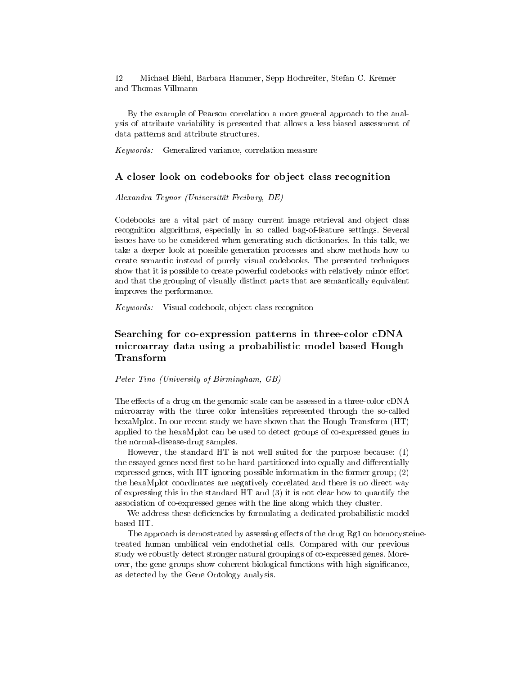By the example of Pearson correlation a more general approach to the analysis of attribute variability is presented that allows a less biased assessment of data patterns and attribute structures.

Keywords: Generalized variance, correlation measure

### A closer look on codebooks for object class recognition

Alexandra Teynor (Universität Freiburg, DE)

Codebooks are a vital part of many current image retrieval and object class recognition algorithms, especially in so called bag-of-feature settings. Several issues have to be considered when generating such dictionaries. In this talk, we take a deeper look at possible generation processes and show methods how to create semantic instead of purely visual codebooks. The presented techniques show that it is possible to create powerful codebooks with relatively minor effort and that the grouping of visually distinct parts that are semantically equivalent improves the performance.

Keywords: Visual codebook, object class recogniton

# Searching for co-expression patterns in three-color cDNA microarray data using a probabilistic model based Hough Transform

Peter Tino (University of Birmingham, GB)

The effects of a drug on the genomic scale can be assessed in a three-color cDNA microarray with the three color intensities represented through the so-called hexaMplot. In our recent study we have shown that the Hough Transform (HT) applied to the hexaMplot can be used to detect groups of co-expressed genes in the normal-disease-drug samples.

However, the standard HT is not well suited for the purpose because: (1) the essayed genes need first to be hard-partitioned into equally and differentially expressed genes, with HT ignoring possible information in the former group; (2) the hexaMplot coordinates are negatively correlated and there is no direct way of expressing this in the standard HT and (3) it is not clear how to quantify the association of co-expressed genes with the line along which they cluster.

We address these deficiencies by formulating a dedicated probabilistic model based HT.

The approach is demostrated by assessing effects of the drug  $Rg1$  on homocysteinetreated human umbilical vein endothetial cells. Compared with our previous study we robustly detect stronger natural groupings of co-expressed genes. Moreover, the gene groups show coherent biological functions with high signicance, as detected by the Gene Ontology analysis.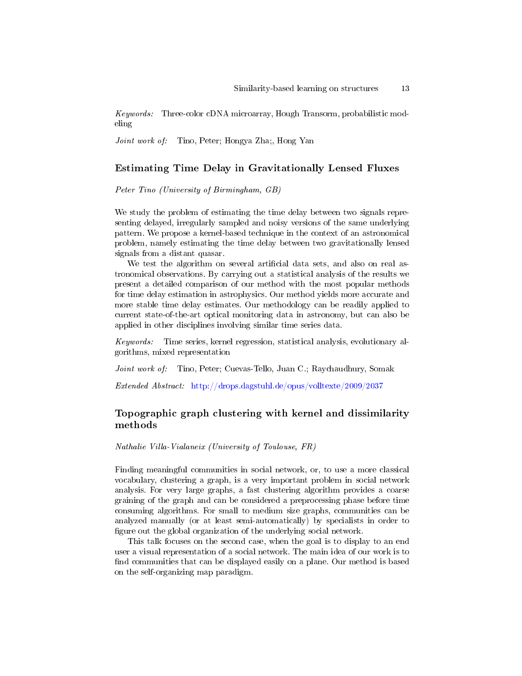Keywords: Three-color cDNA microarray, Hough Transorm, probabilistic modeling

Joint work of: Tino, Peter; Hongya Zha;, Hong Yan

# Estimating Time Delay in Gravitationally Lensed Fluxes

Peter Tino (University of Birmingham, GB)

We study the problem of estimating the time delay between two signals representing delayed, irregularly sampled and noisy versions of the same underlying pattern. We propose a kernel-based technique in the context of an astronomical problem, namely estimating the time delay between two gravitationally lensed signals from a distant quasar.

We test the algorithm on several artificial data sets, and also on real astronomical observations. By carrying out a statistical analysis of the results we present a detailed comparison of our method with the most popular methods for time delay estimation in astrophysics. Our method yields more accurate and more stable time delay estimates. Our methodology can be readily applied to current state-of-the-art optical monitoring data in astronomy, but can also be applied in other disciplines involving similar time series data.

Keywords: Time series, kernel regression, statistical analysis, evolutionary algorithms, mixed representation

Joint work of: Tino, Peter; Cuevas-Tello, Juan C.; Raychaudhury, Somak

Extended Abstract: <http://drops.dagstuhl.de/opus/volltexte/2009/2037>

# Topographic graph clustering with kernel and dissimilarity methods

Nathalie Villa-Vialaneix (University of Toulouse, FR)

Finding meaningful communities in social network, or, to use a more classical vocabulary, clustering a graph, is a very important problem in social network analysis. For very large graphs, a fast clustering algorithm provides a coarse graining of the graph and can be considered a preprocessing phase before time consuming algorithms. For small to medium size graphs, communities can be analyzed manually (or at least semi-automatically) by specialists in order to figure out the global organization of the underlying social network.

This talk focuses on the second case, when the goal is to display to an end user a visual representation of a social network. The main idea of our work is to find communities that can be displayed easily on a plane. Our method is based on the self-organizing map paradigm.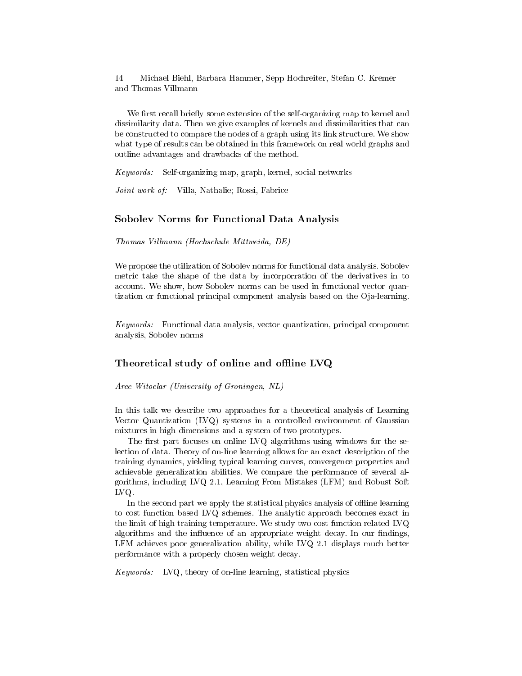We first recall briefly some extension of the self-organizing map to kernel and dissimilarity data. Then we give examples of kernels and dissimilarities that can be constructed to compare the nodes of a graph using its link structure. We show what type of results can be obtained in this framework on real world graphs and outline advantages and drawbacks of the method.

Keywords: Self-organizing map, graph, kernel, social networks

Joint work of: Villa, Nathalie; Rossi, Fabrice

### Sobolev Norms for Functional Data Analysis

Thomas Villmann (Hochschule Mittweida, DE)

We propose the utilization of Sobolev norms for functional data analysis. Sobolev metric take the shape of the data by incorporration of the derivatives in to account. We show, how Sobolev norms can be used in functional vector quantization or functional principal component analysis based on the Oja-learning.

Keywords: Functional data analysis, vector quantization, principal component analysis, Sobolev norms

## Theoretical study of online and offline  $\rm{LVQ}$

Aree Witoelar (University of Groningen, NL)

In this talk we describe two approaches for a theoretical analysis of Learning Vector Quantization (LVQ) systems in a controlled environment of Gaussian mixtures in high dimensions and a system of two prototypes.

The first part focuses on online LVQ algorithms using windows for the selection of data. Theory of on-line learning allows for an exact description of the training dynamics, yielding typical learning curves, convergence properties and achievable generalization abilities. We compare the performance of several algorithms, including LVQ 2.1, Learning From Mistakes (LFM) and Robust Soft LVQ.

In the second part we apply the statistical physics analysis of offline learning to cost function based LVQ schemes. The analytic approach becomes exact in the limit of high training temperature. We study two cost function related LVQ algorithms and the influence of an appropriate weight decay. In our findings, LFM achieves poor generalization ability, while LVQ 2.1 displays much better performance with a properly chosen weight decay.

Keywords: LVQ, theory of on-line learning, statistical physics